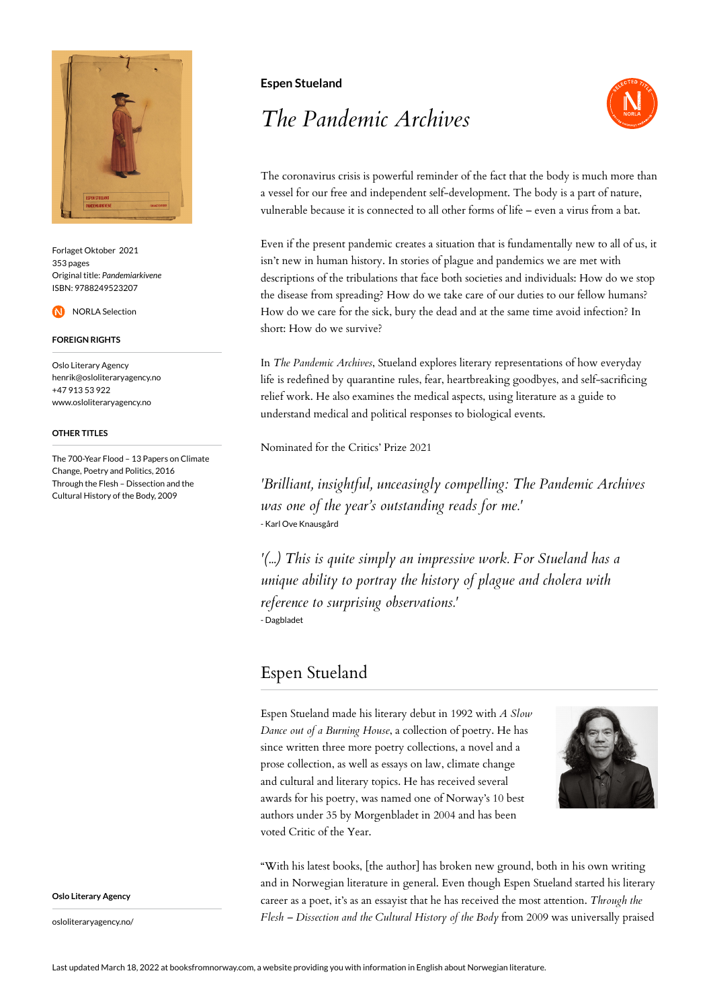

Forlaget Oktober 2021 353 pages Original title: *Pandemiarkivene* ISBN: 9788249523207

NORLA Selection

### **FOREIGN RIGHTS**

Oslo Literary Agency henrik@osloliteraryagency.no +47 913 53 922 www.osloliteraryagency.no

#### **OTHER TITLES**

The 700-Year Flood – 13 Papers on Climate Change, Poetry and Politics, 2016 Through the Flesh – Dissection and the Cultural History of the Body, 2009

**Oslo Literary Agency**

osloliteraryagency.no/

## **Espen Stueland**

# *The Pandemic Archives*



The coronavirus crisis is powerful reminder of the fact that the body is much more than a vessel for our free and independent self-development. The body is a part of nature, vulnerable because it is connected to all other forms of life – even a virus from a bat.

Even if the present pandemic creates a situation that is fundamentally new to all of us, it isn't new in human history. In stories of plague and pandemics we are met with descriptions of the tribulations that face both societies and individuals: How do we stop the disease from spreading? How do we take care of our duties to our fellow humans? How do we care for the sick, bury the dead and at the same time avoid infection? In short: How do we survive?

In *The Pandemic Archives*, Stueland explores literary representations of how everyday life is redefined by quarantine rules, fear, heartbreaking goodbyes, and self-sacrificing relief work. He also examines the medical aspects, using literature as a guide to understand medical and political responses to biological events.

Nominated for the Critics' Prize 2021

*'Brilliant, insightful, unceasingly compelling: The Pandemic Archives was one of the year's outstanding reads for me.'* - Karl Ove Knausgård

*'(...) This is quite simply an impressive work. For Stueland has a unique ability to portray the history of plague and cholera with reference to surprising observations.'* - Dagbladet

# Espen Stueland

Espen Stueland made his literary debut in 1992 with *A Slow Dance out of a Burning House*, a collection of poetry. He has since written three more poetry collections, a novel and a prose collection, as well as essays on law, climate change and cultural and literary topics. He has received several awards for his poetry, was named one of Norway's 10 best authors under 35 by Morgenbladet in 2004 and has been voted Critic of the Year.



"With his latest books, [the author] has broken new ground, both in his own writing and in Norwegian literature in general. Even though Espen Stueland started his literary career as a poet, it's as an essayist that he has received the most attention. *Through the Flesh – Dissection and the Cultural History of the Body* from 2009 was universally praised